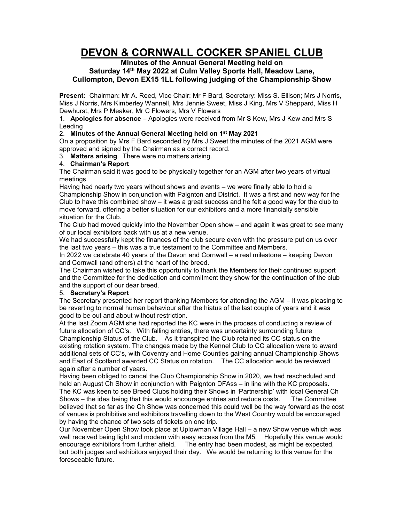# **DEVON & CORNWALL COCKER SPANIEL CLUB**

# **Minutes of the Annual General Meeting held on Saturday 14th May 2022 at Culm Valley Sports Hall, Meadow Lane, Cullompton, Devon EX15 1LL following judging of the Championship Show**

**Present:** Chairman: Mr A. Reed, Vice Chair: Mr F Bard, Secretary: Miss S. Ellison; Mrs J Norris, Miss J Norris, Mrs Kimberley Wannell, Mrs Jennie Sweet, Miss J King, Mrs V Sheppard, Miss H Dewhurst, Mrs P Meaker, Mr C Flowers, Mrs V Flowers

1. **Apologies for absence** – Apologies were received from Mr S Kew, Mrs J Kew and Mrs S Leeding

# 2. **Minutes of the Annual General Meeting held on 1st May 2021**

On a proposition by Mrs F Bard seconded by Mrs J Sweet the minutes of the 2021 AGM were approved and signed by the Chairman as a correct record.

3. **Matters arising** There were no matters arising.

# 4. **Chairman's Report**

The Chairman said it was good to be physically together for an AGM after two years of virtual meetings.

Having had nearly two years without shows and events – we were finally able to hold a Championship Show in conjunction with Paignton and District. It was a first and new way for the Club to have this combined show – it was a great success and he felt a good way for the club to move forward, offering a better situation for our exhibitors and a more financially sensible situation for the Club.

The Club had moved quickly into the November Open show – and again it was great to see many of our local exhibitors back with us at a new venue.

We had successfully kept the finances of the club secure even with the pressure put on us over the last two years – this was a true testament to the Committee and Members.

In 2022 we celebrate 40 years of the Devon and Cornwall – a real milestone – keeping Devon and Cornwall (and others) at the heart of the breed.

The Chairman wished to take this opportunity to thank the Members for their continued support and the Committee for the dedication and commitment they show for the continuation of the club and the support of our dear breed.

#### 5. **Secretary's Report**

The Secretary presented her report thanking Members for attending the AGM – it was pleasing to be reverting to normal human behaviour after the hiatus of the last couple of years and it was good to be out and about without restriction.

At the last Zoom AGM she had reported the KC were in the process of conducting a review of future allocation of CC's. With falling entries, there was uncertainty surrounding future Championship Status of the Club. As it transpired the Club retained its CC status on the existing rotation system. The changes made by the Kennel Club to CC allocation were to award additional sets of CC's, with Coventry and Home Counties gaining annual Championship Shows and East of Scotland awarded CC Status on rotation. The CC allocation would be reviewed again after a number of years.

Having been obliged to cancel the Club Championship Show in 2020, we had rescheduled and held an August Ch Show in conjunction with Paignton DFAss – in line with the KC proposals. The KC was keen to see Breed Clubs holding their Shows in 'Partnership' with local General Ch Shows – the idea being that this would encourage entries and reduce costs. The Committee believed that so far as the Ch Show was concerned this could well be the way forward as the cost of venues is prohibitive and exhibitors travelling down to the West Country would be encouraged by having the chance of two sets of tickets on one trip.

Our November Open Show took place at Uplowman Village Hall – a new Show venue which was well received being light and modern with easy access from the M5. Hopefully this venue would encourage exhibitors from further afield. The entry had been modest, as might be expected, but both judges and exhibitors enjoyed their day. We would be returning to this venue for the foreseeable future.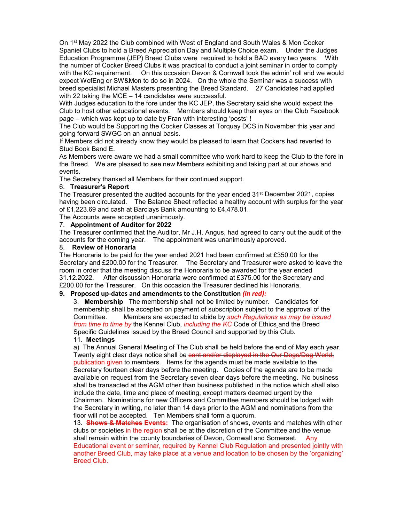On 1st May 2022 the Club combined with West of England and South Wales & Mon Cocker Spaniel Clubs to hold a Breed Appreciation Day and Multiple Choice exam. Under the Judges Education Programme (JEP) Breed Clubs were required to hold a BAD every two years. With the number of Cocker Breed Clubs it was practical to conduct a joint seminar in order to comply with the KC requirement. On this occasion Devon & Cornwall took the admin' roll and we would expect WofEng or SW&Mon to do so in 2024. On the whole the Seminar was a success with breed specialist Michael Masters presenting the Breed Standard. 27 Candidates had applied with 22 taking the MCE – 14 candidates were successful.

With Judges education to the fore under the KC JEP, the Secretary said she would expect the Club to host other educational events. Members should keep their eyes on the Club Facebook page – which was kept up to date by Fran with interesting 'posts' !

The Club would be Supporting the Cocker Classes at Torquay DCS in November this year and going forward SWGC on an annual basis.

If Members did not already know they would be pleased to learn that Cockers had reverted to Stud Book Band E.

As Members were aware we had a small committee who work hard to keep the Club to the fore in the Breed. We are pleased to see new Members exhibiting and taking part at our shows and events.

The Secretary thanked all Members for their continued support.

### 6. **Treasurer's Report**

The Treasurer presented the audited accounts for the year ended 31<sup>st</sup> December 2021, copies having been circulated. The Balance Sheet reflected a healthy account with surplus for the year of £1,223.69 and cash at Barclays Bank amounting to £4,478.01.

The Accounts were accepted unanimously.

#### 7. **Appointment of Auditor for 2022**

The Treasurer confirmed that the Auditor, Mr J.H. Angus, had agreed to carry out the audit of the accounts for the coming year. The appointment was unanimously approved.

### 8. **Review of Honoraria**

The Honoraria to be paid for the year ended 2021 had been confirmed at £350.00 for the Secretary and £200.00 for the Treasurer. The Secretary and Treasurer were asked to leave the room in order that the meeting discuss the Honoraria to be awarded for the year ended 31.12.2022. After discussion Honoraria were confirmed at £375.00 for the Secretary and £200.00 for the Treasurer. On this occasion the Treasurer declined his Honoraria.

#### **9. Proposed up-dates and amendments to the Constitution** *(in red):*

3. **Membership** The membership shall not be limited by number. Candidates for membership shall be accepted on payment of subscription subject to the approval of the Committee. Members are expected to abide by *such Regulations as may be issued from time to time by* the Kennel Club, *including the KC* Code of Ethics and the Breed Specific Guidelines issued by the Breed Council and supported by this Club.

#### 11. **Meetings**

a) The Annual General Meeting of The Club shall be held before the end of May each year. Twenty eight clear days notice shall be sent and/or displayed in the Our Dogs/Dog World, publication given to members. Items for the agenda must be made available to the Secretary fourteen clear days before the meeting. Copies of the agenda are to be made available on request from the Secretary seven clear days before the meeting. No business shall be transacted at the AGM other than business published in the notice which shall also include the date, time and place of meeting, except matters deemed urgent by the Chairman. Nominations for new Officers and Committee members should be lodged with the Secretary in writing, no later than 14 days prior to the AGM and nominations from the

floor will not be accepted. Ten Members shall form a quorum. 13. **Shows & Matches Events:** The organisation of shows, events and matches with other clubs or societies in the region shall be at the discretion of the Committee and the venue shall remain within the county boundaries of Devon, Cornwall and Somerset. Any Educational event or seminar, required by Kennel Club Regulation and presented jointly with another Breed Club, may take place at a venue and location to be chosen by the 'organizing' Breed Club.